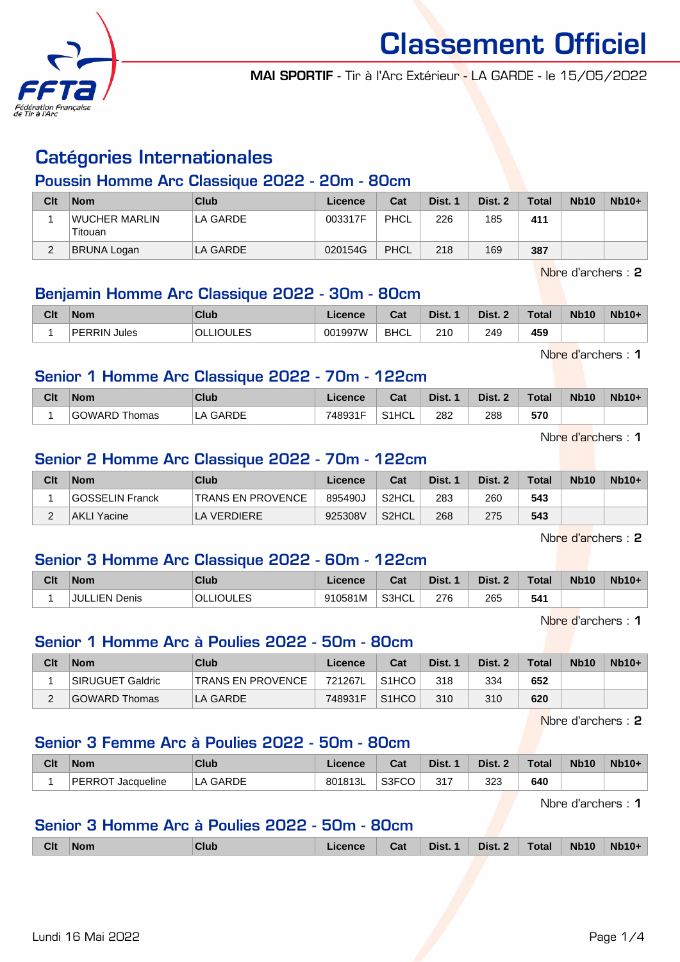

MAI SPORTIF - Tir à l'Arc Extérieur - LA GARDE - le 15/05/2022

# Catégories Internationales

#### Poussin Homme Arc Classique 2022 - 20m - 80cm

| Clt | <b>Nom</b>               | Club     | Licence | Cat         | Dist. 1 | Dist. 2 | <b>Total</b> | <b>Nb10</b> | $Nb10+$ |
|-----|--------------------------|----------|---------|-------------|---------|---------|--------------|-------------|---------|
|     | WUCHER MARLIN<br>Titouan | LA GARDE | 003317F | <b>PHCL</b> | 226     | 185     | 411          |             |         |
| ∠   | BRUNA Logan              | LA GARDE | 020154G | <b>PHCL</b> | 218     | 169     | 387          |             |         |

Nbre d'archers : 2

#### Benjamin Homme Arc Classique 2022 - 30m - 80cm

| Clt | <b>Nom</b>             | Club                 | Licence | $R_{\rm{eff}}$<br>⊍aι | Dist. | Dist.      | Total | <b>Nb10</b> | Nb10+ |
|-----|------------------------|----------------------|---------|-----------------------|-------|------------|-------|-------------|-------|
|     | <b>PERRIN</b><br>Jules | <b>JOULES</b><br>OLI | 001997W | <b>BHCL</b>           | 210   | 249<br>___ | 459   |             |       |

Nbre d'archers : 1

#### Senior 1 Homme Arc Classique 2022 - 70m - 122cm

| Clt | <b>Nom</b>    | Club     | ∟icence | Cat     | Dist. | Dist. 2 | Total | <b>Nb10</b> | $Nb10+$ |
|-----|---------------|----------|---------|---------|-------|---------|-------|-------------|---------|
|     | GOWARD Thomas | LA GARDE | 748931F | ' S1HCL | 282   | 288     | 570   |             |         |

Nbre d'archers : 1

#### Senior 2 Homme Arc Classique 2022 - 70m - 122cm

| Clt      | <b>Nom</b>      | Club                     | Licence | Cat                | Dist. 1 | Dist. 2 | <b>Total</b> | <b>Nb10</b> | $Nb10+$ |
|----------|-----------------|--------------------------|---------|--------------------|---------|---------|--------------|-------------|---------|
|          | GOSSELIN Franck | <b>TRANS EN PROVENCE</b> | 895490J | S2HCL              | 283     | 260     | 543          |             |         |
| <u>_</u> | AKLI Yacine     | LA VERDIERE              | 925308V | S <sub>2</sub> HCL | 268     | 275     | 543          |             |         |

Nbre d'archers : 2

## Senior 3 Homme Arc Classique 2022 - 60m - 122cm

| Clt | <b>Nom</b>                | Club             | .icence | Cat   | Dist. | Dist. | <b>Total</b> | <b>Nb10</b> | $Nb10+$ |
|-----|---------------------------|------------------|---------|-------|-------|-------|--------------|-------------|---------|
|     | <b>JULLIEN F</b><br>Denis | <b>OLLIOULES</b> | 910581M | S3HCL | 276   | 265   | 541          |             |         |

Nbre d'archers : 1

#### Senior 1 Homme Arc à Poulies 2022 - 50m - 80cm

| Clt | <b>Nom</b>       | Club                     | Licence | Cat                | Dist. 1 | Dist. 2 | <b>Total</b> | <b>Nb10</b> | $Nb10+$ |
|-----|------------------|--------------------------|---------|--------------------|---------|---------|--------------|-------------|---------|
|     | SIRUGUET Galdric | <b>TRANS EN PROVENCE</b> | 721267L | S1HCO              | 318     | 334     | 652          |             |         |
|     | GOWARD Thomas    | LA GARDE                 | 748931F | S <sub>1</sub> HCO | 310     | 310     | 620          |             |         |

Nbre d'archers : 2

#### Senior 3 Femme Arc à Poulies 2022 - 50m - 80cm

| Clt | <b>Nom</b>                  | Club               | icence  | Cat                       | Dist. | Dist. 2 | Total | <b>Nb10</b> | Nb10+ |
|-----|-----------------------------|--------------------|---------|---------------------------|-------|---------|-------|-------------|-------|
|     | <b>PERROT</b><br>Jacqueline | GARDE<br>$\Lambda$ | 801813L | <b>SJECC</b><br>◡◡<br>וטט | 317   | 323     | 640   |             |       |

Nbre d'archers : 1

#### Senior 3 Homme Arc à Poulies 2022 - 50m - 80cm

|  | <b>Clt</b> | ⊺Nom | <b>Club</b> | <b>Licence</b> | Cat | Dist. 1 Dist. 2 |  | $\sqrt{\phantom{a}}$ Total | Nb10 | Nb10+ |
|--|------------|------|-------------|----------------|-----|-----------------|--|----------------------------|------|-------|
|--|------------|------|-------------|----------------|-----|-----------------|--|----------------------------|------|-------|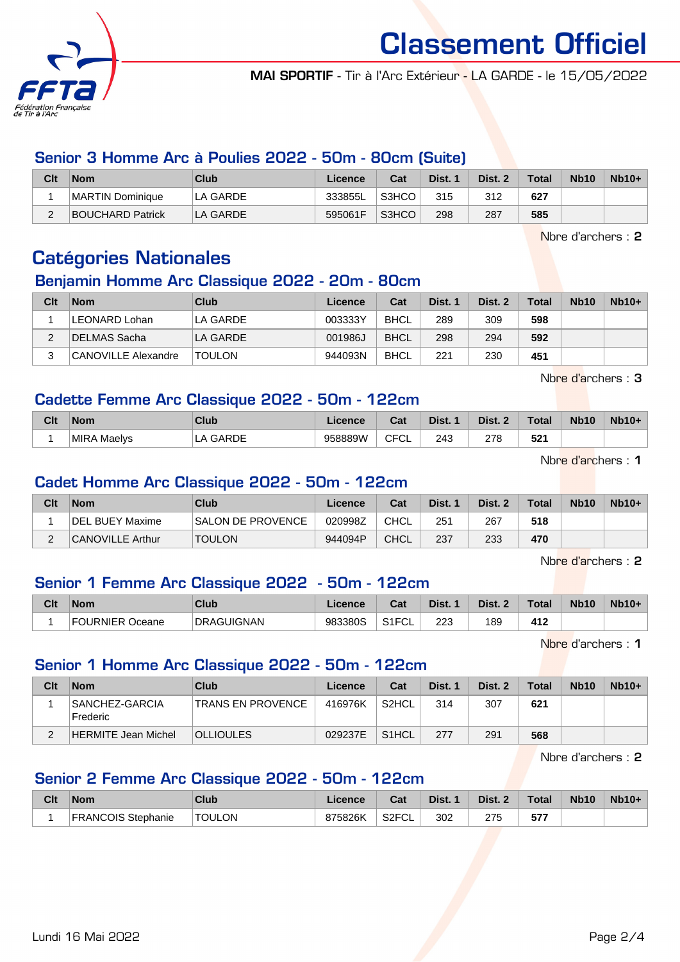

MAI SPORTIF - Tir à l'Arc Extérieur - LA GARDE - le 15/05/2022

#### Senior 3 Homme Arc à Poulies 2022 - 50m - 80cm (Suite)

| Clt | <b>Nom</b>              | Club     | Licence | Cat   | Dist. 1 | Dist. 2 | <b>Total</b> | <b>Nb10</b> | $Nb10+$ |
|-----|-------------------------|----------|---------|-------|---------|---------|--------------|-------------|---------|
|     | <b>MARTIN Dominique</b> | LA GARDE | 333855L | S3HCO | 315     | 312     | 627          |             |         |
| L   | <b>BOUCHARD Patrick</b> | LA GARDE | 595061F | S3HCO | 298     | 287     | 585          |             |         |

Nbre d'archers : 2

# Catégories Nationales

#### Benjamin Homme Arc Classique 2022 - 20m - 80cm

| Clt | <b>Nom</b>          | Club          | Licence | Cat         | Dist. 1 | Dist. 2 | <b>Total</b> | <b>Nb10</b> | $Nb10+$ |
|-----|---------------------|---------------|---------|-------------|---------|---------|--------------|-------------|---------|
|     | LEONARD Lohan       | LA GARDE      | 003333Y | <b>BHCL</b> | 289     | 309     | 598          |             |         |
| ◠   | ∣DELMAS Sacha       | LA GARDE      | 001986J | <b>BHCL</b> | 298     | 294     | 592          |             |         |
|     | CANOVILLE Alexandre | <b>TOULON</b> | 944093N | <b>BHCL</b> | 221     | 230     | 451          |             |         |

Nbre d'archers : 3

#### Cadette Femme Arc Classique 2022 - 50m - 122cm

| Clt | <b>Nom</b>         | Club     | Licence | r.,<br>val  | Dist. | Dist. 2 | Total       | <b>Nb10</b> | $Nb10+$ |
|-----|--------------------|----------|---------|-------------|-------|---------|-------------|-------------|---------|
|     | <b>MIRA Maelys</b> | LA GARDE | 958889W | <b>CFCL</b> | 243   | 278     | 594<br>52 L |             |         |

Nbre d'archers : 1

#### Cadet Homme Arc Classique 2022 - 50m - 122cm

| Clt    | <b>Nom</b>              | Club                     | Licence | Cat  | Dist. 1 | Dist. 2 | <b>Total</b> | <b>Nb10</b> | $Nb10+$ |
|--------|-------------------------|--------------------------|---------|------|---------|---------|--------------|-------------|---------|
|        | DEL BUEY Maxime         | <b>SALON DE PROVENCE</b> | 020998Z | CHCL | 251     | 267     | 518          |             |         |
| $\sim$ | <b>CANOVILLE Arthur</b> | <b>TOULON</b>            | 944094P | CHCL | 237     | 233     | 470          |             |         |

Nbre d'archers : 2

## Senior 1 Femme Arc Classique 2022 - 50m - 122cm

| Clt | <b>Nom</b>                 | Club                     | Licence | Cat                    | Dist. | Dist. 2 | $\tau$ otal | <b>Nb10</b> | <b>Nb10+</b> |
|-----|----------------------------|--------------------------|---------|------------------------|-------|---------|-------------|-------------|--------------|
|     | I IRNIFR ו<br>Oceane<br>ь, | ' IIGNAN<br><b>DRAGU</b> | 983380S | 0.4501<br>ັບ∟<br>ا ا ب | 223   | 189     | 412         |             |              |

Nbre d'archers : 1

#### Senior 1 Homme Arc Classique 2022 - 50m - 122cm

| Clt | <b>Nom</b>                          | Club                     | Licence | Cat                | Dist. 1 | Dist. 2 | <b>Total</b> | <b>Nb10</b> | $Nb10+$ |
|-----|-------------------------------------|--------------------------|---------|--------------------|---------|---------|--------------|-------------|---------|
|     | SANCHEZ-GARCIA<br><b>I</b> Frederic | <b>TRANS EN PROVENCE</b> | 416976K | S <sub>2</sub> HCL | 314     | 307     | 621          |             |         |
| ົ   | HERMITE Jean Michel                 | <b>OLLIOULES</b>         | 029237E | S <sub>1</sub> HCL | 277     | 291     | 568          |             |         |

Nbre d'archers : 2

#### Senior 2 Femme Arc Classique 2022 - 50m - 122cm

| Clt | <b>Nom</b>                | Club          | Licence | <b>Dol</b><br>⊍aι         | Dist. | Dist. | <b>Total</b> | <b>Nb10</b> | $Nb10+$ |
|-----|---------------------------|---------------|---------|---------------------------|-------|-------|--------------|-------------|---------|
|     | <b>FRANCOIS Stephanie</b> | <b>TOULON</b> | 875826K | S <sub>2</sub> FCL<br>ั∪∟ | 302   | 275   | - 77<br>     |             |         |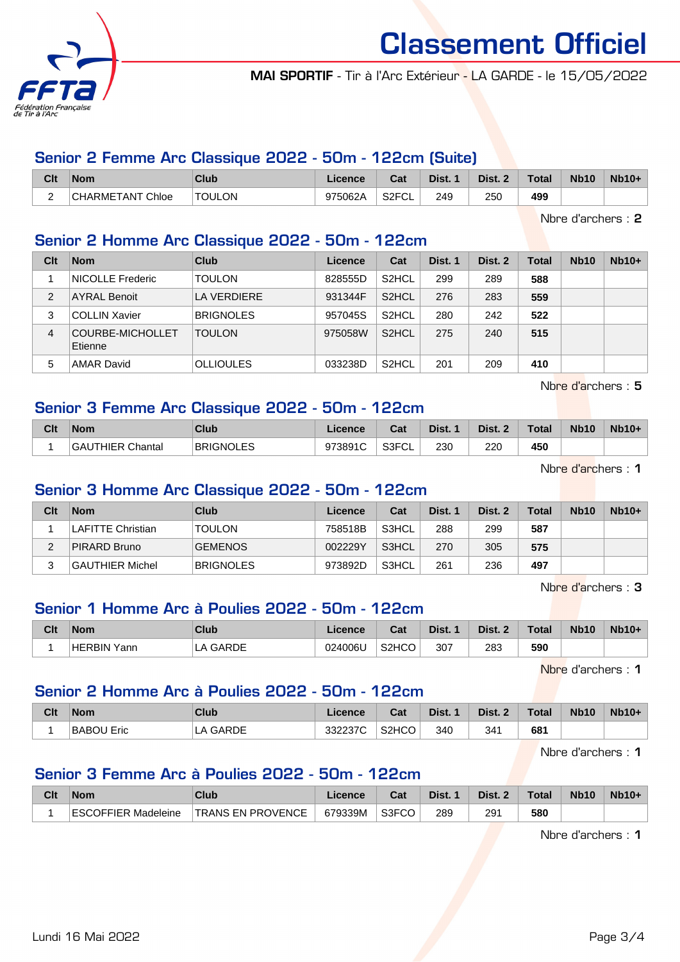

MAI SPORTIF - Tir à l'Arc Extérieur - LA GARDE - le 15/05/2022

#### Senior 2 Femme Arc Classique 2022 - 50m - 122cm (Suite)

| Clt                           | <b>Nom</b>              | Club          | Licence | Cat                       | Dist. | Dist. | <b>Total</b> | <b>Nb10</b> | <b>Nb10+</b> |
|-------------------------------|-------------------------|---------------|---------|---------------------------|-------|-------|--------------|-------------|--------------|
| $\overline{\phantom{0}}$<br>- | <b>CHARMETANT Chloe</b> | <b>TOULON</b> | 975062A | S <sub>2</sub> FCL<br>ັບ∟ | 249   | 250   | 499          |             |              |

Nbre d'archers : 2

#### Senior 2 Homme Arc Classique 2022 - 50m - 122cm

| Clt            | <b>Nom</b>                  | Club             | Licence | Cat                | Dist. 1 | Dist. 2 | Total | <b>Nb10</b> | $Nb10+$ |
|----------------|-----------------------------|------------------|---------|--------------------|---------|---------|-------|-------------|---------|
|                | <b>NICOLLE Frederic</b>     | <b>TOULON</b>    | 828555D | S <sub>2</sub> HCL | 299     | 289     | 588   |             |         |
| $\overline{2}$ | <b>AYRAL Benoit</b>         | LA VERDIERE      | 931344F | S <sub>2</sub> HCL | 276     | 283     | 559   |             |         |
| 3              | <b>COLLIN Xavier</b>        | <b>BRIGNOLES</b> | 957045S | S <sub>2</sub> HCL | 280     | 242     | 522   |             |         |
| 4              | COURBE-MICHOLLET<br>Etienne | <b>TOULON</b>    | 975058W | S <sub>2</sub> HCL | 275     | 240     | 515   |             |         |
| 5              | AMAR David                  | <b>OLLIOULES</b> | 033238D | S <sub>2</sub> HCL | 201     | 209     | 410   |             |         |

Nbre d'archers : 5

#### Senior 3 Femme Arc Classique 2022 - 50m - 122cm

| Clt | <b>Nom</b>                 | <b>Club</b>      | Licence | $R_{\rm{eff}}$<br>⊍⊿ | Dist. | Dist. | Total | <b>Nb10</b> | <b>Nb10+</b> |
|-----|----------------------------|------------------|---------|----------------------|-------|-------|-------|-------------|--------------|
|     | Chantal<br><b>GAUTHIER</b> | <b>BRIGNOLES</b> | 973891C | S3FCI<br>◡∟          | 230   | 220   | 450   |             |              |

Nbre d'archers : 1

#### Senior 3 Homme Arc Classique 2022 - 50m - 122cm

| Clt | <b>Nom</b>             | <b>Club</b>      | Licence | Cat   | Dist. 1 | Dist. 2 | Total | <b>Nb10</b> | $Nb10+$ |
|-----|------------------------|------------------|---------|-------|---------|---------|-------|-------------|---------|
|     | LAFITTE Christian      | <b>TOULON</b>    | 758518B | S3HCL | 288     | 299     | 587   |             |         |
| ົ   | PIRARD Bruno           | <b>GEMENOS</b>   | 002229Y | S3HCL | 270     | 305     | 575   |             |         |
|     | <b>GAUTHIER Michel</b> | <b>BRIGNOLES</b> | 973892D | S3HCL | 261     | 236     | 497   |             |         |

Nbre d'archers : 3

## Senior 1 Homme Arc à Poulies 2022 - 50m - 122cm

| Clt | <b>Nom</b>         | Club  | Licence | Cat                            | Dist. | Dist. 2 | $\tau$ otal | <b>Nb10</b> | $Nb10+$ |
|-----|--------------------|-------|---------|--------------------------------|-------|---------|-------------|-------------|---------|
|     | <b>HERBIN Yann</b> | GARDE | 024006U | S <sub>2</sub> H <sub>CO</sub> | 307   | 283     | 590         |             |         |

Nbre d'archers : 1

#### Senior 2 Homme Arc à Poulies 2022 - 50m - 122cm

| Clt | <b>Nom</b> | Club               | Licence | $R_{\rm eff}$<br>val | Dist. | Dist. 2 | <b>Total</b> | <b>Nb10</b> | $Nb10+$ |
|-----|------------|--------------------|---------|----------------------|-------|---------|--------------|-------------|---------|
|     | BABOU Eric | <b>GARDE</b><br>LA | 332237C | S <sub>2</sub> HCO   | 340   | 341     | 681          |             |         |

Nbre d'archers : 1

#### Senior 3 Femme Arc à Poulies 2022 - 50m - 122cm

| Clt | <b>Nom</b>          | Club                     | Licence | <b>Cost</b><br>ual | Dist. | Dist. 2 | $\tau$ otal | <b>Nb10</b> | $Nb10+$ |
|-----|---------------------|--------------------------|---------|--------------------|-------|---------|-------------|-------------|---------|
|     | ESCOFFIER Madeleine | <b>TRANS EN PROVENCE</b> | 679339M | S3FCO              | 289   | 291     | 580         |             |         |

Nbre d'archers : 1